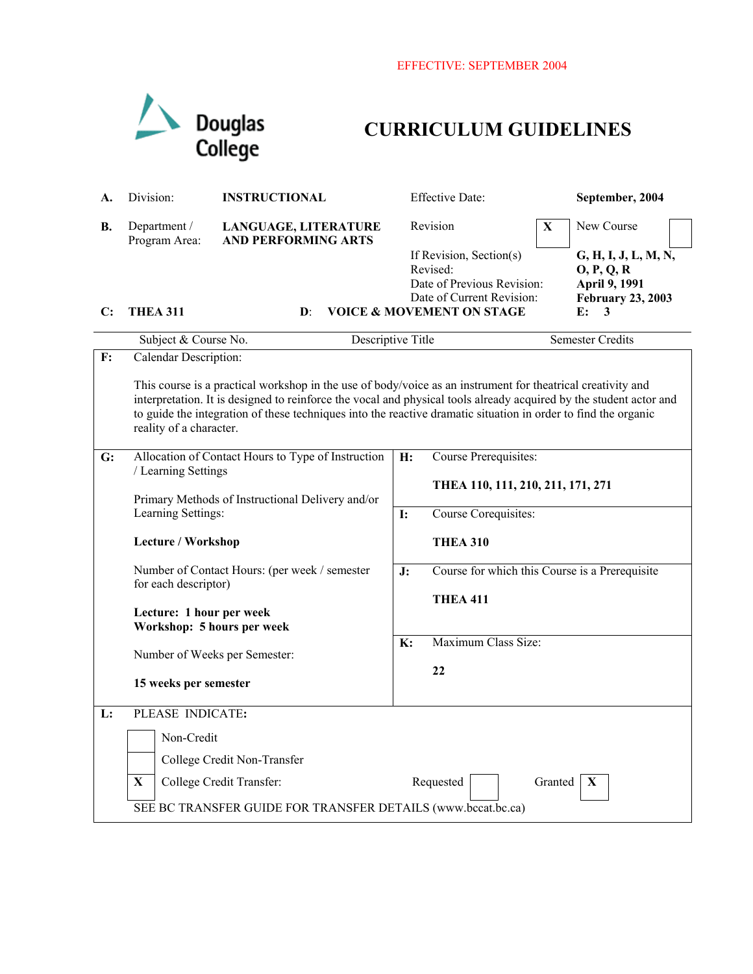

## **CURRICULUM GUIDELINES**

| А.           | Division:                                                                                                                                                                                                                                                                                                                                                                      | <b>INSTRUCTIONAL</b>                                                                                                            |                 | <b>Effective Date:</b>                                                                                                                 |                         | September, 2004                                                                            |  |  |
|--------------|--------------------------------------------------------------------------------------------------------------------------------------------------------------------------------------------------------------------------------------------------------------------------------------------------------------------------------------------------------------------------------|---------------------------------------------------------------------------------------------------------------------------------|-----------------|----------------------------------------------------------------------------------------------------------------------------------------|-------------------------|--------------------------------------------------------------------------------------------|--|--|
| В.           | Department /<br>Program Area:                                                                                                                                                                                                                                                                                                                                                  | LANGUAGE, LITERATURE<br><b>AND PERFORMING ARTS</b>                                                                              |                 | Revision                                                                                                                               | X                       | New Course                                                                                 |  |  |
| $\mathbf{C}$ | <b>THEA 311</b>                                                                                                                                                                                                                                                                                                                                                                | $\mathbf{D}$ :                                                                                                                  |                 | If Revision, Section(s)<br>Revised:<br>Date of Previous Revision:<br>Date of Current Revision:<br><b>VOICE &amp; MOVEMENT ON STAGE</b> |                         | G, H, I, J, L, M, N,<br>O, P, Q, R<br>April 9, 1991<br><b>February 23, 2003</b><br>E:<br>3 |  |  |
|              | Subject & Course No.                                                                                                                                                                                                                                                                                                                                                           | <b>Descriptive Title</b>                                                                                                        |                 |                                                                                                                                        | <b>Semester Credits</b> |                                                                                            |  |  |
| F:           |                                                                                                                                                                                                                                                                                                                                                                                | Calendar Description:                                                                                                           |                 |                                                                                                                                        |                         |                                                                                            |  |  |
|              | This course is a practical workshop in the use of body/voice as an instrument for theatrical creativity and<br>interpretation. It is designed to reinforce the vocal and physical tools already acquired by the student actor and<br>to guide the integration of these techniques into the reactive dramatic situation in order to find the organic<br>reality of a character. |                                                                                                                                 |                 |                                                                                                                                        |                         |                                                                                            |  |  |
| G:           | Allocation of Contact Hours to Type of Instruction<br>/ Learning Settings                                                                                                                                                                                                                                                                                                      |                                                                                                                                 | H:              | Course Prerequisites:                                                                                                                  |                         |                                                                                            |  |  |
|              |                                                                                                                                                                                                                                                                                                                                                                                |                                                                                                                                 |                 | THEA 110, 111, 210, 211, 171, 271                                                                                                      |                         |                                                                                            |  |  |
|              | Learning Settings:                                                                                                                                                                                                                                                                                                                                                             | Primary Methods of Instructional Delivery and/or                                                                                |                 | Course Corequisites:                                                                                                                   |                         |                                                                                            |  |  |
|              | Lecture / Workshop                                                                                                                                                                                                                                                                                                                                                             |                                                                                                                                 | <b>THEA 310</b> |                                                                                                                                        |                         |                                                                                            |  |  |
|              |                                                                                                                                                                                                                                                                                                                                                                                | Number of Contact Hours: (per week / semester<br>for each descriptor)<br>Lecture: 1 hour per week<br>Workshop: 5 hours per week |                 | Course for which this Course is a Prerequisite<br>$\mathbf{J}$ :                                                                       |                         |                                                                                            |  |  |
|              |                                                                                                                                                                                                                                                                                                                                                                                |                                                                                                                                 |                 | <b>THEA 411</b>                                                                                                                        |                         |                                                                                            |  |  |
|              | Number of Weeks per Semester:                                                                                                                                                                                                                                                                                                                                                  |                                                                                                                                 | $\mathbf{K}$ :  | Maximum Class Size:                                                                                                                    |                         |                                                                                            |  |  |
|              | 15 weeks per semester                                                                                                                                                                                                                                                                                                                                                          |                                                                                                                                 |                 | 22                                                                                                                                     |                         |                                                                                            |  |  |
| L:           | PLEASE INDICATE:                                                                                                                                                                                                                                                                                                                                                               |                                                                                                                                 |                 |                                                                                                                                        |                         |                                                                                            |  |  |
|              |                                                                                                                                                                                                                                                                                                                                                                                | Non-Credit                                                                                                                      |                 |                                                                                                                                        |                         |                                                                                            |  |  |
|              |                                                                                                                                                                                                                                                                                                                                                                                | College Credit Non-Transfer                                                                                                     |                 |                                                                                                                                        |                         |                                                                                            |  |  |
|              | X                                                                                                                                                                                                                                                                                                                                                                              | College Credit Transfer:<br>Requested<br>Granted<br>X                                                                           |                 |                                                                                                                                        |                         |                                                                                            |  |  |
|              | SEE BC TRANSFER GUIDE FOR TRANSFER DETAILS (www.bccat.bc.ca)                                                                                                                                                                                                                                                                                                                   |                                                                                                                                 |                 |                                                                                                                                        |                         |                                                                                            |  |  |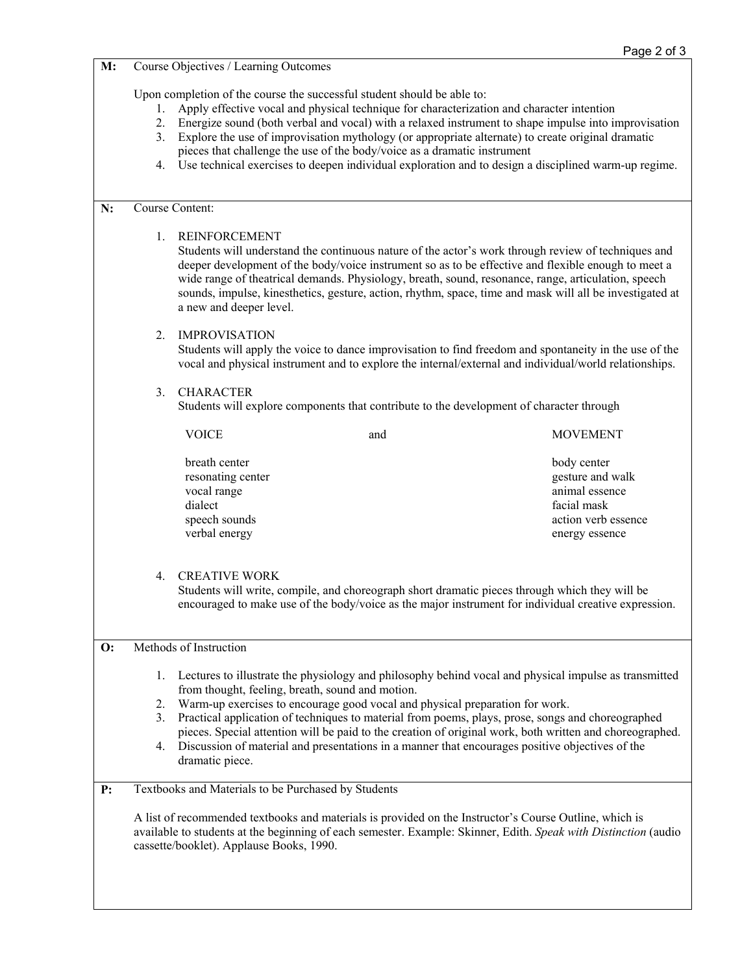|                | 1.<br>2 <sub>1</sub><br>4.                                                                                                                                                                                                                                                                                                                                                                                                                                                                                                                                                                               | Upon completion of the course the successful student should be able to:<br>Apply effective vocal and physical technique for characterization and character intention<br>Energize sound (both verbal and vocal) with a relaxed instrument to shape impulse into improvisation<br>3. Explore the use of improvisation mythology (or appropriate alternate) to create original dramatic<br>pieces that challenge the use of the body/voice as a dramatic instrument<br>Use technical exercises to deepen individual exploration and to design a disciplined warm-up regime. |                                                                                                           |  |  |  |
|----------------|----------------------------------------------------------------------------------------------------------------------------------------------------------------------------------------------------------------------------------------------------------------------------------------------------------------------------------------------------------------------------------------------------------------------------------------------------------------------------------------------------------------------------------------------------------------------------------------------------------|--------------------------------------------------------------------------------------------------------------------------------------------------------------------------------------------------------------------------------------------------------------------------------------------------------------------------------------------------------------------------------------------------------------------------------------------------------------------------------------------------------------------------------------------------------------------------|-----------------------------------------------------------------------------------------------------------|--|--|--|
| N:             |                                                                                                                                                                                                                                                                                                                                                                                                                                                                                                                                                                                                          | Course Content:                                                                                                                                                                                                                                                                                                                                                                                                                                                                                                                                                          |                                                                                                           |  |  |  |
|                | <b>REINFORCEMENT</b><br>$1_{-}$<br>Students will understand the continuous nature of the actor's work through review of techniques and<br>deeper development of the body/voice instrument so as to be effective and flexible enough to meet a<br>wide range of theatrical demands. Physiology, breath, sound, resonance, range, articulation, speech<br>sounds, impulse, kinesthetics, gesture, action, rhythm, space, time and mask will all be investigated at<br>a new and deeper level.                                                                                                              |                                                                                                                                                                                                                                                                                                                                                                                                                                                                                                                                                                          |                                                                                                           |  |  |  |
|                | <b>IMPROVISATION</b><br>$2_{1}$<br>Students will apply the voice to dance improvisation to find freedom and spontaneity in the use of the<br>vocal and physical instrument and to explore the internal/external and individual/world relationships.<br>3.<br><b>CHARACTER</b><br>Students will explore components that contribute to the development of character through                                                                                                                                                                                                                                |                                                                                                                                                                                                                                                                                                                                                                                                                                                                                                                                                                          |                                                                                                           |  |  |  |
|                |                                                                                                                                                                                                                                                                                                                                                                                                                                                                                                                                                                                                          |                                                                                                                                                                                                                                                                                                                                                                                                                                                                                                                                                                          |                                                                                                           |  |  |  |
|                |                                                                                                                                                                                                                                                                                                                                                                                                                                                                                                                                                                                                          | <b>VOICE</b><br>and                                                                                                                                                                                                                                                                                                                                                                                                                                                                                                                                                      | <b>MOVEMENT</b>                                                                                           |  |  |  |
|                |                                                                                                                                                                                                                                                                                                                                                                                                                                                                                                                                                                                                          | breath center<br>resonating center<br>vocal range<br>dialect<br>speech sounds<br>verbal energy                                                                                                                                                                                                                                                                                                                                                                                                                                                                           | body center<br>gesture and walk<br>animal essence<br>facial mask<br>action verb essence<br>energy essence |  |  |  |
|                |                                                                                                                                                                                                                                                                                                                                                                                                                                                                                                                                                                                                          | 4. CREATIVE WORK<br>Students will write, compile, and choreograph short dramatic pieces through which they will be<br>encouraged to make use of the body/voice as the major instrument for individual creative expression.                                                                                                                                                                                                                                                                                                                                               |                                                                                                           |  |  |  |
| $\mathbf{O}$ : |                                                                                                                                                                                                                                                                                                                                                                                                                                                                                                                                                                                                          | Methods of Instruction                                                                                                                                                                                                                                                                                                                                                                                                                                                                                                                                                   |                                                                                                           |  |  |  |
|                | Lectures to illustrate the physiology and philosophy behind vocal and physical impulse as transmitted<br>1.<br>from thought, feeling, breath, sound and motion.<br>Warm-up exercises to encourage good vocal and physical preparation for work.<br>2.<br>Practical application of techniques to material from poems, plays, prose, songs and choreographed<br>3.<br>pieces. Special attention will be paid to the creation of original work, both written and choreographed.<br>Discussion of material and presentations in a manner that encourages positive objectives of the<br>4.<br>dramatic piece. |                                                                                                                                                                                                                                                                                                                                                                                                                                                                                                                                                                          |                                                                                                           |  |  |  |
| P:             |                                                                                                                                                                                                                                                                                                                                                                                                                                                                                                                                                                                                          | Textbooks and Materials to be Purchased by Students                                                                                                                                                                                                                                                                                                                                                                                                                                                                                                                      |                                                                                                           |  |  |  |
|                |                                                                                                                                                                                                                                                                                                                                                                                                                                                                                                                                                                                                          | A list of recommended textbooks and materials is provided on the Instructor's Course Outline, which is<br>available to students at the beginning of each semester. Example: Skinner, Edith. Speak with Distinction (audio<br>cassette/booklet). Applause Books, 1990.                                                                                                                                                                                                                                                                                                    |                                                                                                           |  |  |  |

**M:** Course Objectives / Learning Outcomes